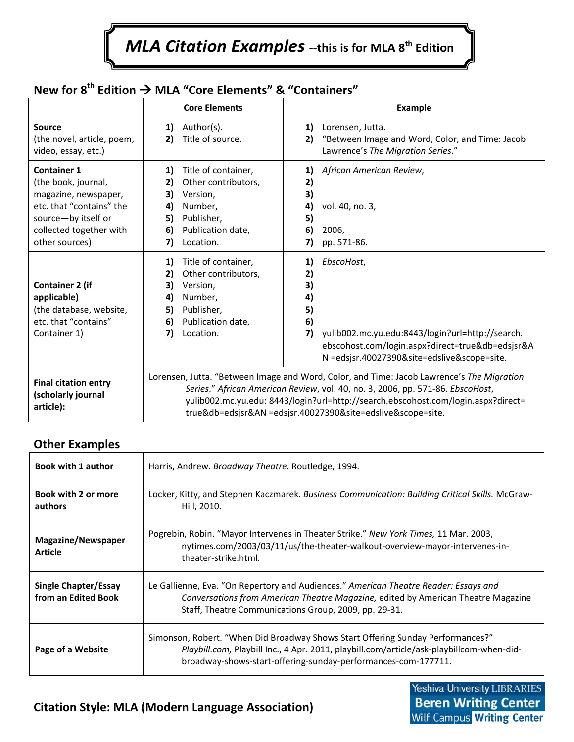# *MLA Citation Examples* **‐‐this is for MLA 8th Edition**

|                                                                                                                                                                   | <b>Core Elements</b>                                                                                                                                                                                                                                                                                                            | <b>Example</b>                                                                                                                                                                                               |
|-------------------------------------------------------------------------------------------------------------------------------------------------------------------|---------------------------------------------------------------------------------------------------------------------------------------------------------------------------------------------------------------------------------------------------------------------------------------------------------------------------------|--------------------------------------------------------------------------------------------------------------------------------------------------------------------------------------------------------------|
| <b>Source</b><br>(the novel, article, poem,<br>video, essay, etc.)                                                                                                | 1)<br>Author(s).<br>Title of source.<br>2)                                                                                                                                                                                                                                                                                      | 1)<br>Lorensen, Jutta.<br>"Between Image and Word, Color, and Time: Jacob<br>2)<br>Lawrence's The Migration Series."                                                                                         |
| <b>Container 1</b><br>(the book, journal,<br>magazine, newspaper,<br>etc. that "contains" the<br>source-by itself or<br>collected together with<br>other sources) | Title of container,<br>1)<br>Other contributors,<br>2)<br>3)<br>Version,<br>Number,<br>4)<br>5)<br>Publisher,<br>6)<br>Publication date,<br>7)<br>Location.                                                                                                                                                                     | African American Review,<br>1)<br>2)<br>3)<br>4)<br>vol. 40, no. 3,<br>5)<br>6)<br>2006,<br>7)<br>pp. 571-86.                                                                                                |
| <b>Container 2 (if</b><br>applicable)<br>(the database, website,<br>etc. that "contains"<br>Container 1)                                                          | Title of container,<br>1)<br>2)<br>Other contributors,<br>3)<br>Version,<br>4)<br>Number,<br>5)<br>Publisher,<br>6)<br>Publication date,<br>7)<br>Location.                                                                                                                                                                     | EbscoHost,<br>1)<br>2)<br>3)<br>4)<br>5)<br>6)<br>7)<br>yulib002.mc.yu.edu:8443/login?url=http://search.<br>ebscohost.com/login.aspx?direct=true&db=edsjsr&A<br>N = edsjsr.40027390&site=edslive&scope=site. |
| <b>Final citation entry</b><br>(scholarly journal<br>article):                                                                                                    | Lorensen, Jutta. "Between Image and Word, Color, and Time: Jacob Lawrence's The Migration<br>Series." African American Review, vol. 40, no. 3, 2006, pp. 571-86. EbscoHost,<br>yulib002.mc.yu.edu: 8443/login?url=http://search.ebscohost.com/login.aspx?direct=<br>true&db=edsjsr&AN =edsjsr.40027390&site=edslive&scope=site. |                                                                                                                                                                                                              |

### **New for 8th Edition MLA "Core Elements" & "Containers"**

### **Other Examples**

| <b>Book with 1 author</b>                          | Harris, Andrew. Broadway Theatre. Routledge, 1994.                                                                                                                                                                                           |  |
|----------------------------------------------------|----------------------------------------------------------------------------------------------------------------------------------------------------------------------------------------------------------------------------------------------|--|
| <b>Book with 2 or more</b><br>authors              | Locker, Kitty, and Stephen Kaczmarek. Business Communication: Building Critical Skills. McGraw-<br>Hill, 2010.                                                                                                                               |  |
| <b>Magazine/Newspaper</b><br><b>Article</b>        | Pogrebin, Robin. "Mayor Intervenes in Theater Strike." New York Times, 11 Mar. 2003,<br>nytimes.com/2003/03/11/us/the-theater-walkout-overview-mayor-intervenes-in-<br>theater-strike.html.                                                  |  |
| <b>Single Chapter/Essay</b><br>from an Edited Book | Le Gallienne, Eva. "On Repertory and Audiences." American Theatre Reader: Essays and<br>Conversations from American Theatre Magazine, edited by American Theatre Magazine<br>Staff, Theatre Communications Group, 2009, pp. 29-31.           |  |
| Page of a Website                                  | Simonson, Robert. "When Did Broadway Shows Start Offering Sunday Performances?"<br>Playbill.com, Playbill Inc., 4 Apr. 2011, playbill.com/article/ask-playbillcom-when-did-<br>broadway-shows-start-offering-sunday-performances-com-177711. |  |

### **Citation Style: MLA (Modern Language Association)**